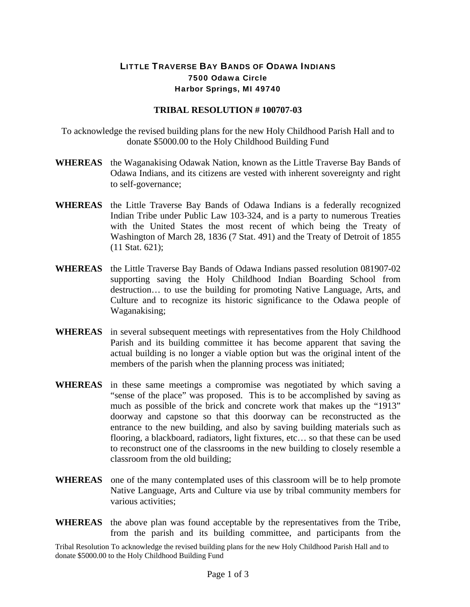## LITTLE TRAVERSE BAY BANDS OF ODAWA INDIANS 7500 Odawa Circle Harbor Springs, MI 49740

## **TRIBAL RESOLUTION # 100707-03**

To acknowledge the revised building plans for the new Holy Childhood Parish Hall and to donate \$5000.00 to the Holy Childhood Building Fund

- **WHEREAS** the Waganakising Odawak Nation, known as the Little Traverse Bay Bands of Odawa Indians, and its citizens are vested with inherent sovereignty and right to self-governance;
- **WHEREAS** the Little Traverse Bay Bands of Odawa Indians is a federally recognized Indian Tribe under Public Law 103-324, and is a party to numerous Treaties with the United States the most recent of which being the Treaty of Washington of March 28, 1836 (7 Stat. 491) and the Treaty of Detroit of 1855 (11 Stat. 621);
- **WHEREAS** the Little Traverse Bay Bands of Odawa Indians passed resolution 081907-02 supporting saving the Holy Childhood Indian Boarding School from destruction… to use the building for promoting Native Language, Arts, and Culture and to recognize its historic significance to the Odawa people of Waganakising;
- **WHEREAS** in several subsequent meetings with representatives from the Holy Childhood Parish and its building committee it has become apparent that saving the actual building is no longer a viable option but was the original intent of the members of the parish when the planning process was initiated;
- **WHEREAS** in these same meetings a compromise was negotiated by which saving a "sense of the place" was proposed. This is to be accomplished by saving as much as possible of the brick and concrete work that makes up the "1913" doorway and capstone so that this doorway can be reconstructed as the entrance to the new building, and also by saving building materials such as flooring, a blackboard, radiators, light fixtures, etc… so that these can be used to reconstruct one of the classrooms in the new building to closely resemble a classroom from the old building;
- **WHEREAS** one of the many contemplated uses of this classroom will be to help promote Native Language, Arts and Culture via use by tribal community members for various activities;
- **WHEREAS** the above plan was found acceptable by the representatives from the Tribe, from the parish and its building committee, and participants from the

Tribal Resolution To acknowledge the revised building plans for the new Holy Childhood Parish Hall and to donate \$5000.00 to the Holy Childhood Building Fund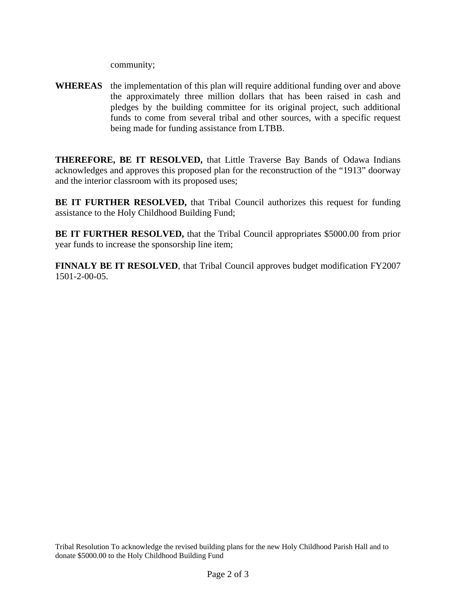community;

**WHEREAS** the implementation of this plan will require additional funding over and above the approximately three million dollars that has been raised in cash and pledges by the building committee for its original project, such additional funds to come from several tribal and other sources, with a specific request being made for funding assistance from LTBB.

**THEREFORE, BE IT RESOLVED,** that Little Traverse Bay Bands of Odawa Indians acknowledges and approves this proposed plan for the reconstruction of the "1913" doorway and the interior classroom with its proposed uses;

**BE IT FURTHER RESOLVED,** that Tribal Council authorizes this request for funding assistance to the Holy Childhood Building Fund;

**BE IT FURTHER RESOLVED,** that the Tribal Council appropriates \$5000.00 from prior year funds to increase the sponsorship line item;

**FINNALY BE IT RESOLVED**, that Tribal Council approves budget modification FY2007 1501-2-00-05.

Tribal Resolution To acknowledge the revised building plans for the new Holy Childhood Parish Hall and to donate \$5000.00 to the Holy Childhood Building Fund